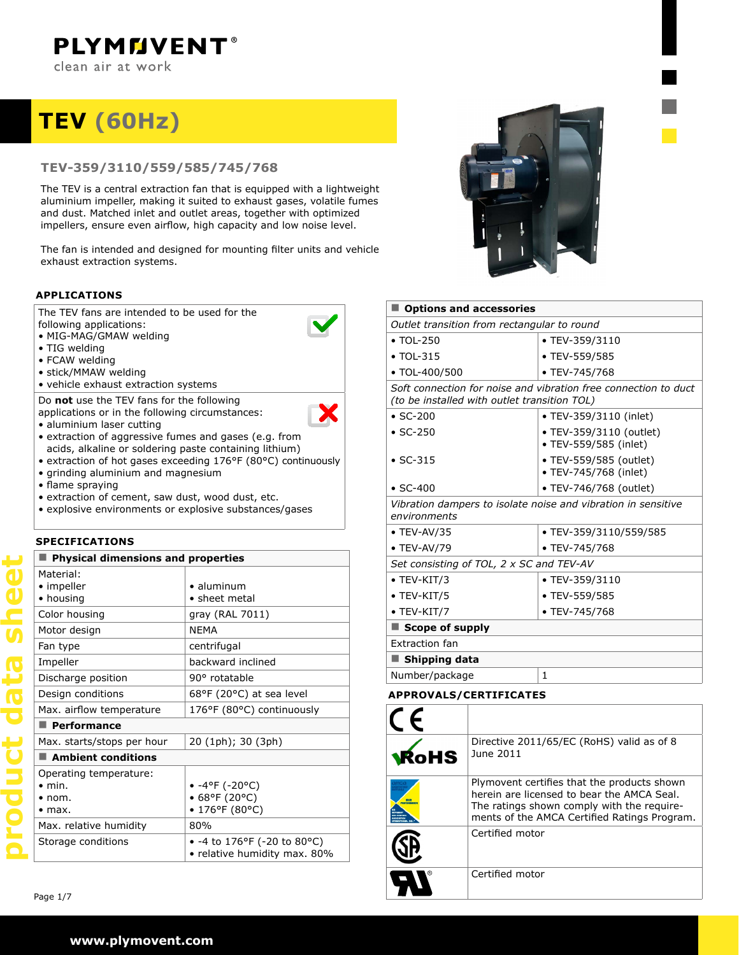# **TEV (60hz)**

## **TEV-359/3110/559/585/745/768**

The TEV is a central extraction fan that is equipped with a lightweight aluminium impeller, making it suited to exhaust gases, volatile fumes and dust. Matched inlet and outlet areas, together with optimized impellers, ensure even airflow, high capacity and low noise level.

The fan is intended and designed for mounting filter units and vehicle exhaust extraction systems.

## **applications**

The TEV fans are intended to be used for the following applications:

- MIG-MAG/GMAW welding
- TIG welding
- FCAW welding
- stick/MMAW welding
- vehicle exhaust extraction systems

Do **not** use the TEV fans for the following

- applications or in the following circumstances: • aluminium laser cutting
- X
- extraction of aggressive fumes and gases (e.g. from acids, alkaline or soldering paste containing lithium)
- extraction of hot gases exceeding 176°F (80°C) continuously
- grinding aluminium and magnesium
- flame spraying
- extraction of cement, saw dust, wood dust, etc.
- explosive environments or explosive substances/gases

#### **specifications**

| <b>Physical dimensions and properties</b>                |                                                                        |  |  |  |  |  |
|----------------------------------------------------------|------------------------------------------------------------------------|--|--|--|--|--|
| Material:<br>• impeller<br>• housing                     | • aluminum<br>$\bullet$ sheet metal                                    |  |  |  |  |  |
| Color housing                                            | gray (RAL 7011)                                                        |  |  |  |  |  |
| Motor design                                             | <b>NFMA</b>                                                            |  |  |  |  |  |
| Fan type                                                 | centrifugal                                                            |  |  |  |  |  |
| Impeller                                                 | backward inclined                                                      |  |  |  |  |  |
| Discharge position                                       | 90° rotatable                                                          |  |  |  |  |  |
| Design conditions                                        | 68°F (20°C) at sea level                                               |  |  |  |  |  |
| Max. airflow temperature                                 | 176°F (80°C) continuously                                              |  |  |  |  |  |
| $\blacksquare$ Performance                               |                                                                        |  |  |  |  |  |
| Max. starts/stops per hour                               | 20 (1ph); 30 (3ph)                                                     |  |  |  |  |  |
| $\blacksquare$ Ambient conditions                        |                                                                        |  |  |  |  |  |
| Operating temperature:<br>$\bullet$ min.<br>nom.<br>max. | • $-4^{\circ}$ F ( $-20^{\circ}$ C)<br>• 68°F (20°C)<br>• 176°F (80°C) |  |  |  |  |  |
| Max. relative humidity                                   | 80%                                                                    |  |  |  |  |  |
| Storage conditions                                       | • -4 to 176°F (-20 to 80°C)<br>• relative humidity max. 80%            |  |  |  |  |  |



| <b>Options and accessories</b>                                                                                  |                                                  |  |  |  |  |  |
|-----------------------------------------------------------------------------------------------------------------|--------------------------------------------------|--|--|--|--|--|
| Outlet transition from rectangular to round                                                                     |                                                  |  |  |  |  |  |
| $\cdot$ TOL-250                                                                                                 | • TEV-359/3110                                   |  |  |  |  |  |
| $\bullet$ TOL-315                                                                                               | • TEV-559/585                                    |  |  |  |  |  |
| • TOL-400/500                                                                                                   | • TEV-745/768                                    |  |  |  |  |  |
| Soft connection for noise and vibration free connection to duct<br>(to be installed with outlet transition TOL) |                                                  |  |  |  |  |  |
| $\cdot$ SC-200                                                                                                  | • TEV-359/3110 (inlet)                           |  |  |  |  |  |
| $\cdot$ SC-250                                                                                                  | • TEV-359/3110 (outlet)<br>• TEV-559/585 (inlet) |  |  |  |  |  |
| $\cdot$ SC-315                                                                                                  | • TEV-559/585 (outlet)<br>• TEV-745/768 (inlet)  |  |  |  |  |  |
| $\cdot$ SC-400                                                                                                  | • TEV-746/768 (outlet)                           |  |  |  |  |  |
| Vibration dampers to isolate noise and vibration in sensitive<br>environments                                   |                                                  |  |  |  |  |  |
| $\bullet$ TEV-AV/35                                                                                             | • TEV-359/3110/559/585                           |  |  |  |  |  |
| $\bullet$ TEV-AV/79                                                                                             | • TEV-745/768                                    |  |  |  |  |  |
| Set consisting of TOL, 2 x SC and TEV-AV                                                                        |                                                  |  |  |  |  |  |
| $\bullet$ TEV-KIT/3                                                                                             | • TEV-359/3110                                   |  |  |  |  |  |
| $\bullet$ TEV-KIT/5                                                                                             | • TEV-559/585                                    |  |  |  |  |  |
| $\bullet$ TEV-KIT/7                                                                                             | • TEV-745/768                                    |  |  |  |  |  |
| Scope of supply                                                                                                 |                                                  |  |  |  |  |  |
| <b>Extraction fan</b>                                                                                           |                                                  |  |  |  |  |  |
| Shipping data                                                                                                   |                                                  |  |  |  |  |  |
| Number/package                                                                                                  | 1                                                |  |  |  |  |  |

#### **approvals/certificates**

| <b>KoHS</b> | Directive 2011/65/EC (RoHS) valid as of 8<br>June 2011                                                                                                                                  |
|-------------|-----------------------------------------------------------------------------------------------------------------------------------------------------------------------------------------|
|             | Plymovent certifies that the products shown<br>herein are licensed to bear the AMCA Seal.<br>The ratings shown comply with the require-<br>ments of the AMCA Certified Ratings Program. |
|             | Certified motor                                                                                                                                                                         |
|             | Certified motor                                                                                                                                                                         |

**GOUD ELE** 

UCL

Page 1/7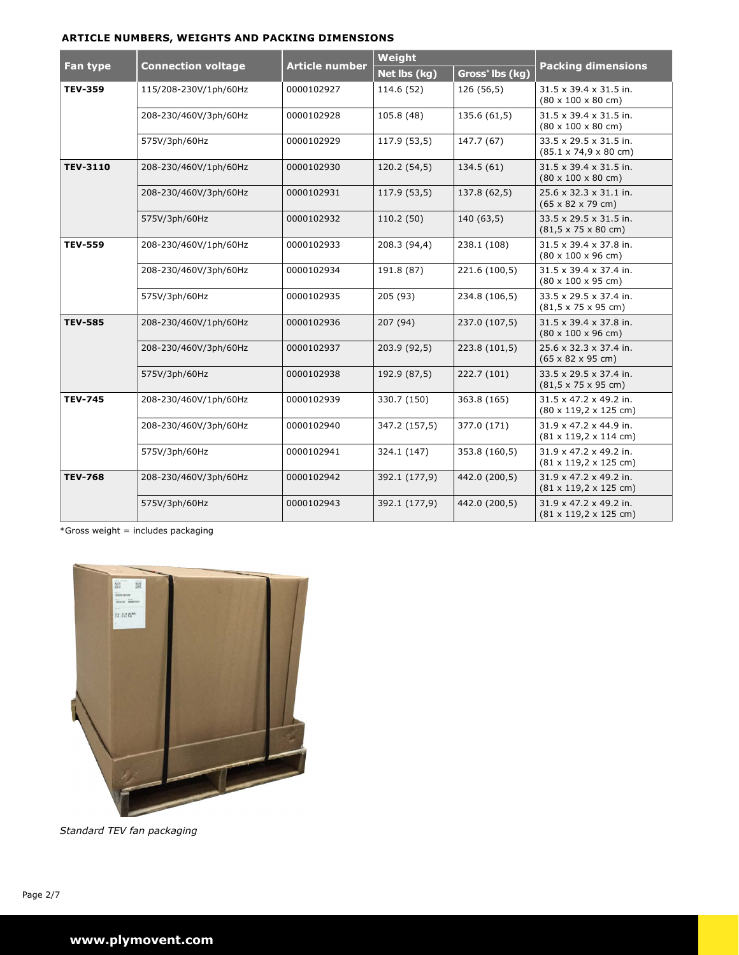### **article numbers, weights and packing dimensions**

|                 |                           |                       | Weight        |                             |                                                                                  |  |
|-----------------|---------------------------|-----------------------|---------------|-----------------------------|----------------------------------------------------------------------------------|--|
| Fan type        | <b>Connection voltage</b> | <b>Article number</b> | Net lbs (kg)  | Gross <sup>*</sup> Ibs (kg) | <b>Packing dimensions</b>                                                        |  |
| <b>TEV-359</b>  | 115/208-230V/1ph/60Hz     | 0000102927            | 114.6 (52)    | 126 (56,5)                  | 31.5 x 39.4 x 31.5 in.<br>$(80 \times 100 \times 80 \text{ cm})$                 |  |
|                 | 208-230/460V/3ph/60Hz     | 0000102928            | 105.8 (48)    | 135.6 (61,5)                | $31.5 \times 39.4 \times 31.5$ in.<br>$(80 \times 100 \times 80 \text{ cm})$     |  |
|                 | 575V/3ph/60Hz             | 0000102929            | 117.9 (53,5)  | 147.7 (67)                  | 33.5 x 29.5 x 31.5 in.<br>$(85.1 \times 74.9 \times 80 \text{ cm})$              |  |
| <b>TEV-3110</b> | 208-230/460V/1ph/60Hz     | 0000102930            | 120.2 (54,5)  | 134.5(61)                   | $31.5 \times 39.4 \times 31.5$ in.<br>$(80 \times 100 \times 80 \text{ cm})$     |  |
|                 | 208-230/460V/3ph/60Hz     | 0000102931            | 117.9 (53,5)  | 137.8 (62,5)                | 25.6 x 32.3 x 31.1 in.<br>$(65 \times 82 \times 79 \text{ cm})$                  |  |
|                 | 575V/3ph/60Hz             | 0000102932            | 110.2(50)     | 140(63,5)                   | 33.5 x 29.5 x 31.5 in.<br>$(81, 5 \times 75 \times 80 \text{ cm})$               |  |
| <b>TEV-559</b>  | 208-230/460V/1ph/60Hz     | 0000102933            | 208.3 (94,4)  | 238.1 (108)                 | 31.5 x 39.4 x 37.8 in.<br>$(80 \times 100 \times 96$ cm)                         |  |
|                 | 208-230/460V/3ph/60Hz     | 0000102934            | 191.8 (87)    | 221.6 (100,5)               | $31.5 \times 39.4 \times 37.4$ in.<br>$(80 \times 100 \times 95 \text{ cm})$     |  |
|                 | 575V/3ph/60Hz             | 0000102935            | 205 (93)      | 234.8 (106,5)               | $33.5 \times 29.5 \times 37.4$ in.<br>$(81, 5 \times 75 \times 95 \text{ cm})$   |  |
| <b>TEV-585</b>  | 208-230/460V/1ph/60Hz     | 0000102936            | 207 (94)      | 237.0 (107,5)               | $31.5 \times 39.4 \times 37.8$ in.<br>$(80 \times 100 \times 96$ cm)             |  |
|                 | 208-230/460V/3ph/60Hz     | 0000102937            | 203.9 (92,5)  | 223.8 (101,5)               | $25.6 \times 32.3 \times 37.4$ in.<br>$(65 \times 82 \times 95 \text{ cm})$      |  |
|                 | 575V/3ph/60Hz             | 0000102938            | 192.9 (87,5)  | 222.7 (101)                 | 33.5 x 29.5 x 37.4 in.<br>$(81, 5 \times 75 \times 95 \text{ cm})$               |  |
| <b>TEV-745</b>  | 208-230/460V/1ph/60Hz     | 0000102939            | 330.7 (150)   | 363.8 (165)                 | $31.5 \times 47.2 \times 49.2$ in.<br>$(80 \times 119, 2 \times 125$ cm)         |  |
|                 | 208-230/460V/3ph/60Hz     | 0000102940            | 347.2 (157,5) | 377.0 (171)                 | $31.9 \times 47.2 \times 44.9$ in.<br>$(81 \times 119, 2 \times 114 \text{ cm})$ |  |
|                 | 575V/3ph/60Hz             | 0000102941            | 324.1 (147)   | 353.8 (160,5)               | $31.9 \times 47.2 \times 49.2$ in.<br>$(81 \times 119, 2 \times 125$ cm)         |  |
| <b>TEV-768</b>  | 208-230/460V/3ph/60Hz     | 0000102942            | 392.1 (177,9) | 442.0 (200,5)               | $31.9 \times 47.2 \times 49.2$ in.<br>$(81 \times 119, 2 \times 125$ cm)         |  |
|                 | 575V/3ph/60Hz             | 0000102943            | 392.1 (177,9) | 442.0 (200,5)               | 31.9 x 47.2 x 49.2 in.<br>$(81 \times 119, 2 \times 125$ cm)                     |  |

 $*Gross weight = includes packinging$ 



*Standard TEV fan packaging*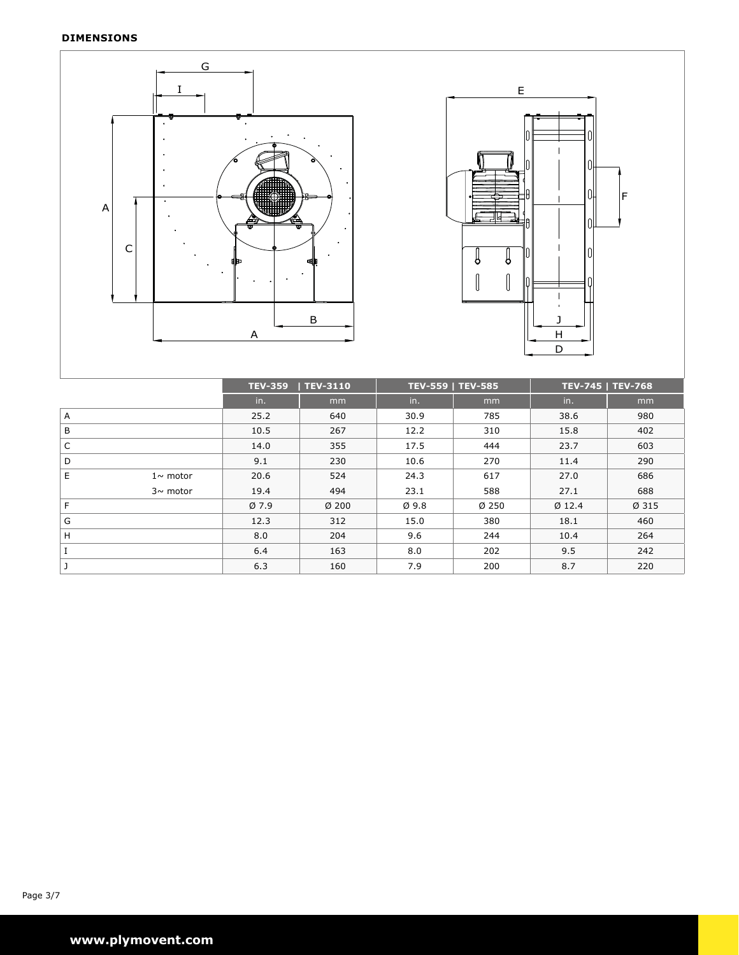### **Dimensions**





|   |                | TEV-3110<br><b>TEV-359</b> |         |      | <b>TEV-559   TEV-585</b> | <b>TEV-745   TEV-768</b> |       |
|---|----------------|----------------------------|---------|------|--------------------------|--------------------------|-------|
|   |                | in.                        | mm      | in.  | mm                       | in.                      | mm    |
| Α |                | 25.2                       | 640     | 30.9 | 785                      | 38.6                     | 980   |
| B |                | 10.5                       | 267     | 12.2 | 310                      | 15.8                     | 402   |
| C |                | 14.0                       | 355     | 17.5 | 444                      | 23.7                     | 603   |
| D |                | 9.1                        | 230     | 10.6 | 270                      | 11.4                     | 290   |
| E | $1 \sim$ motor | 20.6                       | 524     | 24.3 | 617                      | 27.0                     | 686   |
|   | $3\sim$ motor  | 19.4                       | 494     | 23.1 | 588                      | 27.1                     | 688   |
| F |                | Ø7.9                       | $Ø$ 200 | Ø9.8 | Ø250                     | $Ø$ 12.4                 | Ø 315 |
| G |                | 12.3                       | 312     | 15.0 | 380                      | 18.1                     | 460   |
| H |                | 8.0                        | 204     | 9.6  | 244                      | 10.4                     | 264   |
| I |                | 6.4                        | 163     | 8.0  | 202                      | 9.5                      | 242   |
|   |                | 6.3                        | 160     | 7.9  | 200                      | 8.7                      | 220   |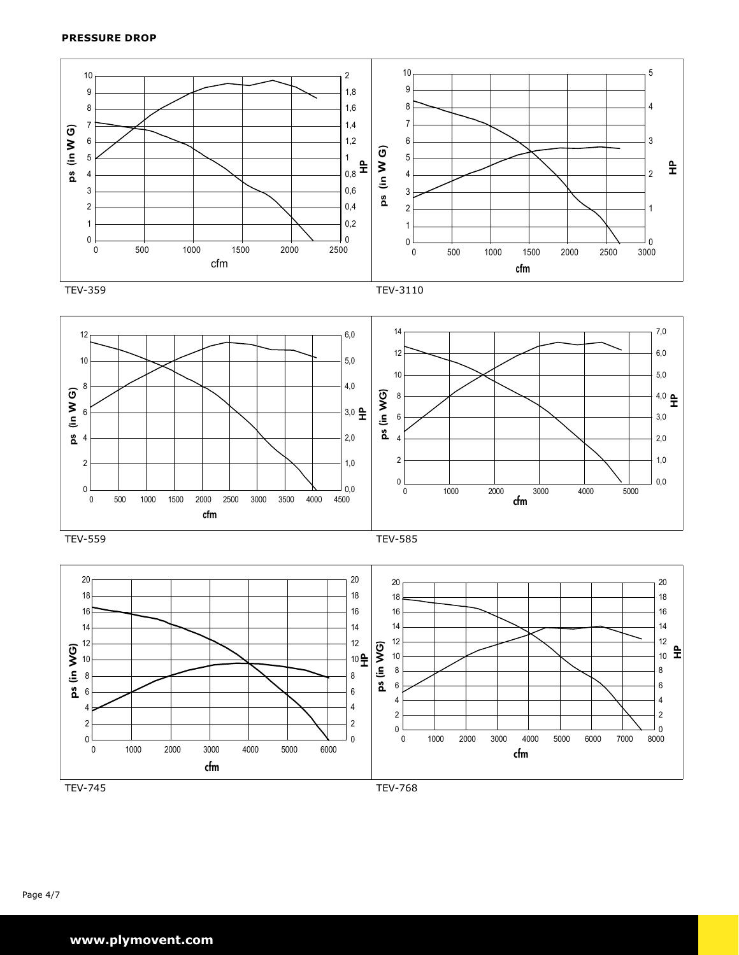





performance ratings do not include the effects of appurtenance in the airstream.

plymoventative representative representative representative representative representative representative repre performance ratings do not include the effects of appurtenance in the airstream. The airstream of airstream.

 $3500$  2 107  $\pm$  1000  $\pm$  1000  $\pm$  1000  $\pm$  1000  $\pm$  1000  $\pm$  1000  $\pm$  1000  $\pm$  1000  $\pm$ 

3500 2 100 2 100 2 100 2 100 2 100 2 100 2 100 2 100 2 100 2 100 2 100 2 100 2 100 2 100 2 100 2 100 2 100 2 1 350 4 109 4 109 4 109 4 109 4 109 4 109 4 109 4 109 4 109 4 109 4 109 4 109 4 109 4 109 4 109 4 109 4 109 4 10 3500 6 108 92 108 92 108 92 108 92 108 92 108 92 108 92 108 92 108 92 108 92 108 92 108 92 108 92 108 92 108 3500 8 107 109 108 105 100 95 90 90 106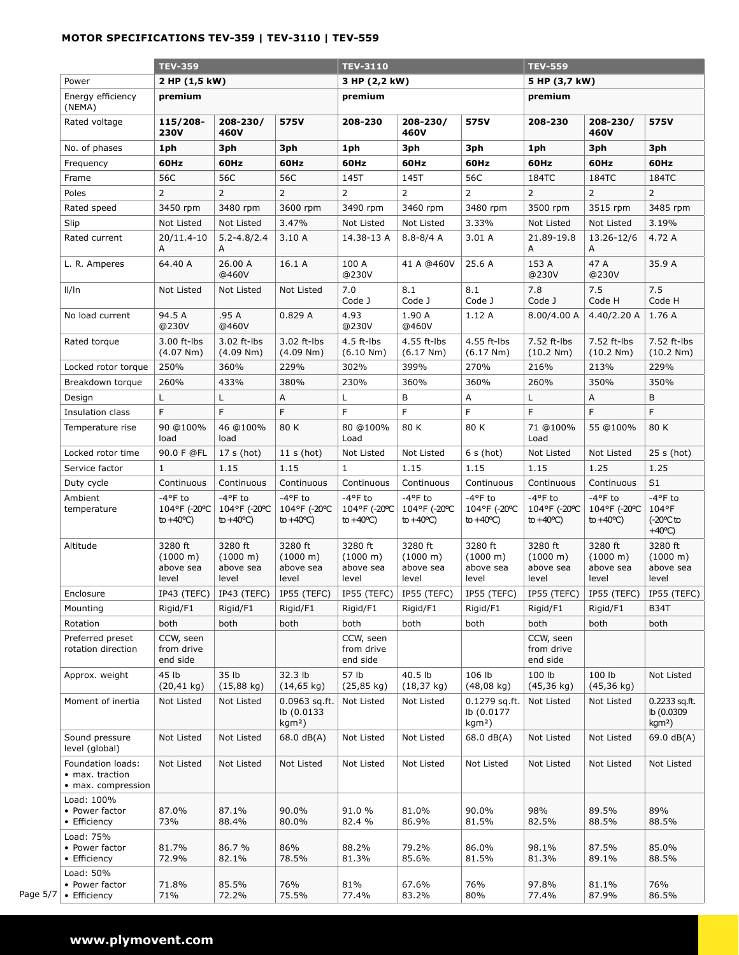## **mOTOR specifications TEV-359 | TEV-3110 | TEV-559**

|          |                                                            | <b>TEV-359</b>                                    |                                                   | <b>TEV-3110</b>                                |                                                   |                                                   | <b>TEV-559</b>                                 |                                           |                                                   |                                                               |
|----------|------------------------------------------------------------|---------------------------------------------------|---------------------------------------------------|------------------------------------------------|---------------------------------------------------|---------------------------------------------------|------------------------------------------------|-------------------------------------------|---------------------------------------------------|---------------------------------------------------------------|
|          | Power                                                      | 2 HP (1,5 kW)                                     |                                                   | 3 HP (2,2 kW)                                  |                                                   |                                                   | 5 HP (3,7 kW)                                  |                                           |                                                   |                                                               |
|          | Energy efficiency<br>(NEMA)                                | premium                                           |                                                   |                                                | premium                                           |                                                   |                                                |                                           |                                                   |                                                               |
|          | Rated voltage                                              | 115/208-<br><b>230V</b>                           | 208-230/<br>460V                                  | 575V                                           | 208-230                                           | 208-230/<br>460V                                  | 575V                                           | 208-230                                   | 208-230/<br>460V                                  | 575V                                                          |
|          | No. of phases                                              | 1ph                                               | 3ph                                               | 3ph                                            | 1ph                                               | 3ph                                               | 3ph                                            | 1ph                                       | 3ph                                               | 3ph                                                           |
|          | Frequency                                                  | 60Hz                                              | 60Hz                                              | 60Hz                                           | 60Hz                                              | 60Hz                                              | 60Hz                                           | 60Hz                                      | 60Hz                                              | 60Hz                                                          |
|          | Frame                                                      | 56C                                               | 56C                                               | 56C                                            | 145T                                              | 145T                                              | 56C                                            | 184TC                                     | 184TC                                             | 184TC                                                         |
|          | Poles                                                      | $\overline{2}$                                    | $\overline{2}$                                    | $\overline{2}$                                 | $\overline{2}$                                    | 2                                                 | $\overline{2}$                                 | $\overline{2}$                            | 2                                                 | $\overline{2}$                                                |
|          | Rated speed                                                | 3450 rpm                                          | 3480 rpm                                          | 3600 rpm                                       | 3490 rpm                                          | 3460 rpm                                          | 3480 rpm                                       | 3500 rpm                                  | 3515 rpm                                          | 3485 rpm                                                      |
|          | Slip                                                       | Not Listed                                        | Not Listed                                        | 3.47%                                          | Not Listed                                        | Not Listed                                        | 3.33%                                          | Not Listed                                | Not Listed                                        | 3.19%                                                         |
|          | Rated current                                              | 20/11.4-10<br>Α                                   | $5.2 - 4.8/2.4$<br>A                              | 3.10A                                          | 14.38-13 A                                        | $8.8 - 8/4$ A                                     | 3.01A                                          | 21.89-19.8<br>Α                           | 13.26-12/6<br>A                                   | 4.72 A                                                        |
|          | L. R. Amperes                                              | 64.40 A                                           | 26.00 A<br>@460V                                  | 16.1 A                                         | 100 A<br>@230V                                    | 41 A @460V                                        | 25.6 A                                         | 153 A<br>@230V                            | 47 A<br>@230V                                     | 35.9 A                                                        |
|          | $I$ /In                                                    | Not Listed                                        | Not Listed                                        | Not Listed                                     | 7.0<br>Code J                                     | 8.1<br>Code J                                     | 8.1<br>Code J                                  | 7.8<br>Code J                             | 7.5<br>Code H                                     | 7.5<br>Code H                                                 |
|          | No load current                                            | 94.5 A<br>@230V                                   | .95 A<br>@460V                                    | 0.829A                                         | 4.93<br>@230V                                     | 1.90 A<br>@460V                                   | 1.12A                                          | 8.00/4.00 A                               | 4.40/2.20 A                                       | 1.76 A                                                        |
|          | Rated torque                                               | 3.00 ft-lbs<br>(4.07 Nm)                          | 3.02 ft-lbs<br>(4.09 Nm)                          | 3.02 ft-lbs<br>(4.09 Nm)                       | 4.5 ft-lbs<br>(6.10 Nm)                           | 4.55 ft-lbs<br>(6.17 Nm)                          | 4.55 ft-lbs<br>(6.17 Nm)                       | 7.52 ft-lbs<br>(10.2 Nm)                  | 7.52 ft-lbs<br>(10.2 Nm)                          | 7.52 ft-lbs<br>(10.2 Nm)                                      |
|          | Locked rotor torque                                        | 250%                                              | 360%                                              | 229%                                           | 302%                                              | 399%                                              | 270%                                           | 216%                                      | 213%                                              | 229%                                                          |
|          | Breakdown torque                                           | 260%                                              | 433%                                              | 380%                                           | 230%                                              | 360%                                              | 360%                                           | 260%                                      | 350%                                              | 350%                                                          |
|          | Design                                                     | L                                                 | L                                                 | A                                              | Г                                                 | В                                                 | Α                                              | L.                                        | Α                                                 | B                                                             |
|          | Insulation class                                           | F                                                 | F                                                 | F                                              | F                                                 | F                                                 | F                                              | F                                         | F                                                 | F                                                             |
|          | Temperature rise                                           | 90 @100%<br>load                                  | 46 @100%<br>load                                  | 80 K                                           | 80 @100%<br>Load                                  | 80 K                                              | 80 K                                           | 71 @100%<br>Load                          | 55 @100%                                          | 80 K                                                          |
|          | Locked rotor time                                          | 90.0 F @FL                                        | 17 s (hot)                                        | 11 s(hot)                                      | Not Listed                                        | Not Listed                                        | 6 s (hot)                                      | Not Listed                                | Not Listed                                        | $25 s$ (hot)                                                  |
|          | Service factor                                             | $\mathbf{1}$                                      | 1.15                                              | 1.15                                           | $\mathbf{1}$                                      | 1.15                                              | 1.15                                           | 1.15                                      | 1.25                                              | 1.25                                                          |
|          | Duty cycle                                                 | Continuous                                        | Continuous                                        | Continuous                                     | Continuous                                        | Continuous                                        | Continuous                                     | Continuous                                | Continuous                                        | S <sub>1</sub>                                                |
|          | Ambient<br>temperature                                     | $-4$ °F to<br>104°F (-20°C<br>to $+40^{\circ}$ C) | $-4$ °F to<br>104°F (-20°C<br>to $+40^{\circ}$ C) | -4°F to<br>104°F (-20°C<br>to $+40^{\circ}$ C) | $-4$ °F to<br>104°F (-20°C<br>to $+40^{\circ}$ C) | $-4$ °F to<br>104°F (-20°C<br>to $+40^{\circ}$ C) | -4°F to<br>104°F (-20°C<br>to $+40^{\circ}$ C) | -4°F to<br>104°F (-20°C<br>to +40°C)      | $-4$ °F to<br>104°F (-20°C<br>to $+40^{\circ}$ C) | $-4$ °F to<br>104°F<br>$(-20^{\circ}$ Cto<br>$+40^{\circ}$ C) |
|          | Altitude                                                   | 3280 ft<br>(1000 m)<br>above sea<br>level         | 3280 ft<br>(1000 m)<br>above sea<br>level         | 3280 ft<br>(1000 m)<br>above sea<br>level      | 3280 ft<br>(1000 m)<br>above sea<br>level         | 3280 ft<br>(1000 m)<br>above sea<br>level         | 3280 ft<br>(1000 m)<br>above sea<br>level      | 3280 ft<br>(1000 m)<br>above sea<br>level | 3280 ft<br>(1000 m)<br>above sea<br>level         | 3280 ft<br>(1000 m)<br>above sea<br>level                     |
|          | Enclosure                                                  |                                                   | IP43 (TEFC)   IP43 (TEFC)                         | IP55 (TEFC)                                    |                                                   | IP55 (TEFC)   IP55 (TEFC)                         | IP55 (TEFC)                                    |                                           | IP55 (TEFC)   IP55 (TEFC)                         | IP55 (TEFC)                                                   |
|          | Mounting                                                   | Rigid/F1                                          | Rigid/F1                                          | Rigid/F1                                       | Rigid/F1                                          | Rigid/F1                                          | Rigid/F1                                       | Rigid/F1                                  | Rigid/F1                                          | <b>B34T</b>                                                   |
|          | Rotation                                                   | both                                              | both                                              | both                                           | both                                              | both                                              | both                                           | both                                      | both                                              | both                                                          |
|          | Preferred preset<br>rotation direction                     | CCW, seen<br>from drive<br>end side               |                                                   |                                                | CCW, seen<br>from drive<br>end side               |                                                   |                                                | CCW, seen<br>from drive<br>end side       |                                                   |                                                               |
|          | Approx. weight                                             | 45 lb<br>$(20, 41 \text{ kg})$                    | 35 lb<br>$(15,88 \text{ kg})$                     | 32.3 lb<br>$(14, 65 \text{ kg})$               | 57 lb<br>$(25, 85 \text{ kg})$                    | 40.5 lb<br>$(18, 37 \text{ kg})$                  | 106 lb<br>$(48,08 \text{ kg})$                 | 100 lb<br>$(45, 36 \text{ kg})$           | 100 lb<br>$(45, 36$ kg)                           | Not Listed                                                    |
|          | Moment of inertia                                          | Not Listed                                        | Not Listed                                        | $0.0963$ sq.ft.<br>lb (0.0133<br>$kgm2$ )      | Not Listed                                        | Not Listed                                        | $0.1279$ sq.ft.<br>lb (0.0177<br>$kgm2$ )      | Not Listed                                | Not Listed                                        | $0.2233$ sq.ft.<br>lb (0.0309)<br>$kgm2$ )                    |
|          | Sound pressure<br>level (global)                           | Not Listed                                        | Not Listed                                        | 68.0 dB(A)                                     | Not Listed                                        | Not Listed                                        | 68.0 dB(A)                                     | Not Listed                                | Not Listed                                        | 69.0 $dB(A)$                                                  |
|          | Foundation loads:<br>• max. traction<br>• max. compression | Not Listed                                        | Not Listed                                        | Not Listed                                     | Not Listed                                        | Not Listed                                        | Not Listed                                     | Not Listed                                | Not Listed                                        | Not Listed                                                    |
|          | Load: 100%<br>• Power factor<br>• Efficiency               | 87.0%<br>73%                                      | 87.1%<br>88.4%                                    | 90.0%<br>80.0%                                 | 91.0%<br>82.4 %                                   | 81.0%<br>86.9%                                    | 90.0%<br>81.5%                                 | 98%<br>82.5%                              | 89.5%<br>88.5%                                    | 89%<br>88.5%                                                  |
|          | Load: 75%<br>• Power factor<br>• Efficiency                | 81.7%<br>72.9%                                    | 86.7 %<br>82.1%                                   | 86%<br>78.5%                                   | 88.2%<br>81.3%                                    | 79.2%<br>85.6%                                    | 86.0%<br>81.5%                                 | 98.1%<br>81.3%                            | 87.5%<br>89.1%                                    | 85.0%<br>88.5%                                                |
| Page 5/7 | Load: 50%<br>• Power factor<br>• Efficiency                | 71.8%<br>71%                                      | 85.5%<br>72.2%                                    | 76%<br>75.5%                                   | 81%<br>77.4%                                      | 67.6%<br>83.2%                                    | 76%<br>80%                                     | 97.8%<br>77.4%                            | 81.1%<br>87.9%                                    | 76%<br>86.5%                                                  |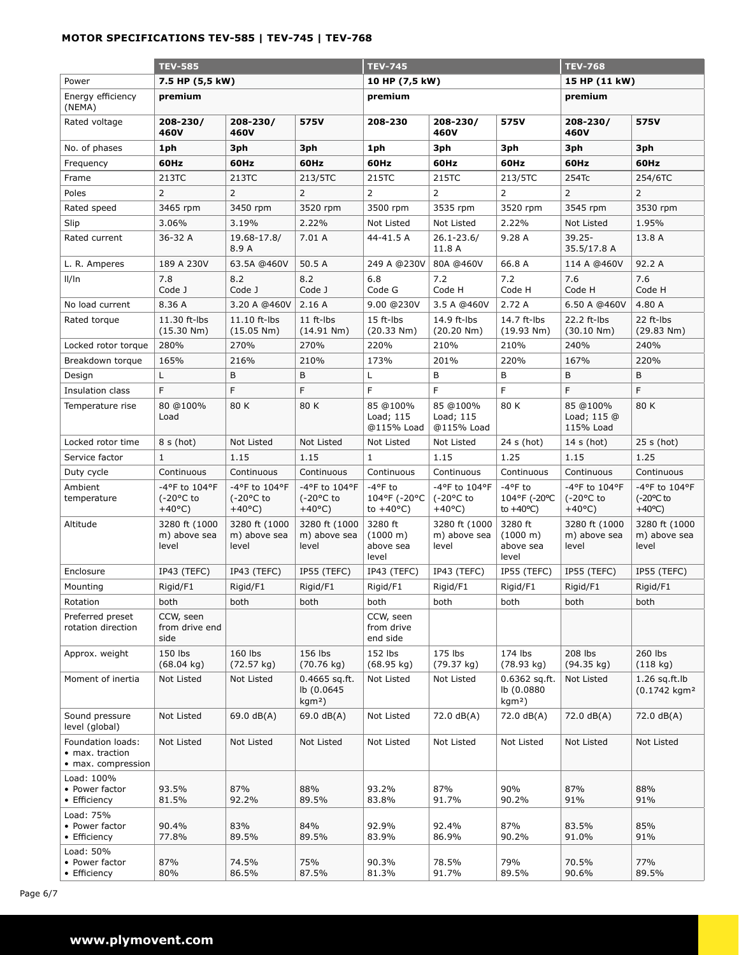### **mOTOR specifications TEV-585 | TEV-745 | TEV-768**

|                                                            | <b>TEV-585</b>                                           |                                                          | <b>TEV-745</b>                                           |                                                | <b>TEV-768</b>                                           |                                                       |                                                          |                                                          |
|------------------------------------------------------------|----------------------------------------------------------|----------------------------------------------------------|----------------------------------------------------------|------------------------------------------------|----------------------------------------------------------|-------------------------------------------------------|----------------------------------------------------------|----------------------------------------------------------|
| Power                                                      | 7.5 HP (5,5 kW)                                          |                                                          |                                                          | 10 HP (7,5 kW)                                 |                                                          | 15 HP (11 kW)                                         |                                                          |                                                          |
| Energy efficiency<br>(NEMA)                                | premium                                                  |                                                          |                                                          | premium                                        |                                                          | premium                                               |                                                          |                                                          |
| Rated voltage                                              | 208-230/<br>460V                                         | 208-230/<br>460V                                         | 575V<br>575V<br>208-230/<br>208-230<br>460V              |                                                |                                                          | 208-230/<br>460V                                      | 575V                                                     |                                                          |
| No. of phases                                              | 1ph                                                      | 3ph                                                      | 3ph                                                      | 1ph                                            | 3ph                                                      | 3ph                                                   | 3ph                                                      | 3ph                                                      |
| Frequency                                                  | 60Hz                                                     | 60Hz                                                     | 60Hz                                                     | 60Hz                                           | 60Hz                                                     | 60Hz                                                  | 60Hz                                                     | 60Hz                                                     |
| Frame                                                      | 213TC                                                    | 213TC                                                    | 213/5TC                                                  | 215TC                                          | 215TC                                                    | 213/5TC                                               | 254Tc                                                    | 254/6TC                                                  |
| Poles                                                      | $\overline{2}$                                           | $\overline{2}$                                           | $\overline{2}$                                           | $\overline{2}$                                 | $\overline{2}$                                           | $\overline{2}$                                        | $\overline{2}$                                           | 2                                                        |
| Rated speed                                                | 3465 rpm                                                 | 3450 rpm                                                 | 3520 rpm                                                 | 3500 rpm                                       | 3535 rpm                                                 | 3520 rpm                                              | 3545 rpm                                                 | 3530 rpm                                                 |
| Slip                                                       | 3.06%                                                    | 3.19%                                                    | 2.22%                                                    | Not Listed                                     | Not Listed                                               | 2.22%                                                 | Not Listed                                               | 1.95%                                                    |
| Rated current                                              | 36-32 A                                                  | 19.68-17.8/<br>8.9 A                                     | 7.01 A                                                   | 44-41.5 A                                      | $26.1 - 23.6/$<br>11.8 A                                 | 9.28 A                                                | $39.25 -$<br>35.5/17.8 A                                 | 13.8 A                                                   |
| L. R. Amperes                                              | 189 A 230V                                               | 63.5A @460V                                              | 50.5 A                                                   | 249 A @230V                                    | 80A @460V                                                | 66.8 A                                                | 114 A @460V                                              | 92.2 A                                                   |
| $I\vert I\vert$ ln                                         | 7.8<br>Code J                                            | 8.2<br>Code J                                            | 8.2<br>Code J                                            | 6.8<br>Code G                                  | 7.2<br>Code H                                            | 7.2<br>Code H                                         | 7.6<br>Code H                                            | 7.6<br>Code H                                            |
| No load current                                            | 8.36 A                                                   | 3.20 A @460V                                             | 2.16A                                                    | 9.00 @230V                                     | 3.5 A @460V                                              | 2.72 A                                                | 6.50 A @460V                                             | 4.80 A                                                   |
| Rated torque                                               | 11.30 ft-lbs<br>(15.30 Nm)                               | 11.10 ft-lbs<br>(15.05 Nm)                               | 11 ft-lbs<br>(14.91 Nm)                                  | 15 ft-lbs<br>(20.33 Nm)                        | 14.9 ft-lbs<br>(20.20 Nm)                                | 14.7 ft-lbs<br>(19.93 Nm)                             | 22.2 ft-lbs<br>(30.10 Nm)                                | 22 ft-lbs<br>(29.83 Nm)                                  |
| Locked rotor torque                                        | 280%                                                     | 270%                                                     | 270%                                                     | 220%                                           | 210%                                                     | 210%                                                  | 240%                                                     | 240%                                                     |
| Breakdown torque                                           | 165%                                                     | 216%                                                     | 210%                                                     | 173%                                           | 201%                                                     | 220%                                                  | 167%                                                     | 220%                                                     |
| Design                                                     | L                                                        | В                                                        | B                                                        | L                                              | B                                                        | В                                                     | В                                                        | В                                                        |
| Insulation class                                           | F                                                        | F                                                        | F                                                        | F                                              | F                                                        | F                                                     | F                                                        | F                                                        |
| Temperature rise                                           | 80 @100%<br>Load                                         | 80 K                                                     | 80 K                                                     | 85 @100%<br>Load; 115<br>@115% Load            | 85 @100%<br>Load; 115<br>@115% Load                      | 80 K                                                  | 85 @100%<br>Load; 115 @<br>115% Load                     | 80 K                                                     |
| Locked rotor time                                          | $8 s$ (hot)                                              | Not Listed                                               | Not Listed                                               | Not Listed                                     | Not Listed                                               | 24 s (hot)                                            | $14 s$ (hot)                                             | $25 s$ (hot)                                             |
| Service factor                                             | $\mathbf{1}$                                             | 1.15                                                     | 1.15                                                     | $\mathbf{1}$                                   | 1.15                                                     | 1.25                                                  | 1.15                                                     | 1.25                                                     |
| Duty cycle                                                 | Continuous                                               | Continuous                                               | Continuous                                               | Continuous                                     | Continuous                                               | Continuous                                            | Continuous                                               | Continuous                                               |
| Ambient<br>temperature                                     | -4°F to 104°F<br>$(-20^{\circ}$ C to<br>$+40^{\circ}$ C) | -4°F to 104°F<br>$(-20^{\circ}$ C to<br>$+40^{\circ}$ C) | -4°F to 104°F<br>$(-20^{\circ}$ C to<br>$+40^{\circ}$ C) | -4°F to<br>104°F (-20°C<br>to $+40^{\circ}$ C) | -4°F to 104°F<br>$(-20^{\circ}$ C to<br>$+40^{\circ}$ C) | $-4$ °F to<br>104°F (-20°C<br>to $+40^{\circ}$ C)     | -4°F to 104°F<br>$(-20^{\circ}$ C to<br>$+40^{\circ}$ C) | -4°F to 104°F<br>$(-20^{\circ}C)$ to<br>$+40^{\circ}$ C) |
| Altitude                                                   | 3280 ft (1000<br>m) above sea<br>level                   | 3280 ft (1000<br>m) above sea<br>level                   | 3280 ft (1000<br>m) above sea<br>level                   | 3280 ft<br>(1000 m)<br>above sea<br>level      | 3280 ft (1000<br>m) above sea<br>level                   | 3280 ft<br>$(1000 \; \text{m})$<br>above sea<br>level | 3280 ft (1000<br>m) above sea<br>level                   | 3280 ft (1000<br>m) above sea<br>level                   |
| Enclosure                                                  | IP43 (TEFC)                                              | IP43 (TEFC)                                              | IP55 (TEFC)                                              | IP43 (TEFC)                                    | IP43 (TEFC)                                              | IP55 (TEFC)                                           | IP55 (TEFC)                                              | IP55 (TEFC)                                              |
| Mounting                                                   | Rigid/F1                                                 | Rigid/F1                                                 | Rigid/F1                                                 | Rigid/F1                                       | Rigid/F1                                                 | Rigid/F1                                              | Rigid/F1                                                 | Rigid/F1                                                 |
| Rotation                                                   | both                                                     | both                                                     | both                                                     | both                                           | both                                                     | both                                                  | both                                                     | both                                                     |
| Preferred preset<br>rotation direction                     | CCW, seen<br>from drive end<br>side                      |                                                          |                                                          | CCW, seen<br>from drive<br>end side            |                                                          |                                                       |                                                          |                                                          |
| Approx. weight                                             | 150 lbs<br>(68.04 kg)                                    | 160 lbs<br>(72.57 kg)                                    | 156 lbs<br>$(70.76 \text{ kg})$                          | 152 lbs<br>(68.95 kg)                          | 175 lbs<br>(79.37 kg)                                    | 174 lbs<br>(78.93 kg)                                 | 208 lbs<br>(94.35 kg)                                    | 260 lbs<br>(118 kg)                                      |
| Moment of inertia                                          | Not Listed                                               | Not Listed                                               | $0.4665$ sq.ft.<br>lb (0.0645<br>$kgm2$ )                | Not Listed                                     | Not Listed                                               | $0.6362$ sq.ft.<br>lb (0.0880<br>$kgm2$ )             | Not Listed                                               | $1.26$ sq.ft.lb<br>(0.1742 kgm <sup>2</sup>              |
| Sound pressure<br>level (global)                           | Not Listed                                               | 69.0 dB(A)                                               | 69.0 $dB(A)$                                             | Not Listed                                     | 72.0 dB(A)                                               | 72.0 dB(A)                                            | 72.0 dB(A)                                               | 72.0 dB(A)                                               |
| Foundation loads:<br>• max. traction<br>• max. compression | Not Listed                                               | Not Listed                                               | Not Listed                                               | Not Listed                                     | Not Listed                                               | Not Listed                                            | Not Listed                                               | Not Listed                                               |
| Load: 100%<br>• Power factor<br>• Efficiency               | 93.5%<br>81.5%                                           | 87%<br>92.2%                                             | 88%<br>89.5%                                             | 93.2%<br>83.8%                                 | 87%<br>91.7%                                             | 90%<br>90.2%                                          | 87%<br>91%                                               | 88%<br>91%                                               |
| Load: 75%<br>• Power factor<br>• Efficiency                | 90.4%<br>77.8%                                           | 83%<br>89.5%                                             | 84%<br>89.5%                                             | 92.9%<br>83.9%                                 | 92.4%<br>86.9%                                           | 87%<br>90.2%                                          | 83.5%<br>91.0%                                           | 85%<br>91%                                               |
| Load: 50%<br>• Power factor<br>• Efficiency                | 87%<br>80%                                               | 74.5%<br>86.5%                                           | 75%<br>87.5%                                             | 90.3%<br>81.3%                                 | 78.5%<br>91.7%                                           | 79%<br>89.5%                                          | 70.5%<br>90.6%                                           | 77%<br>89.5%                                             |

Page 6/7